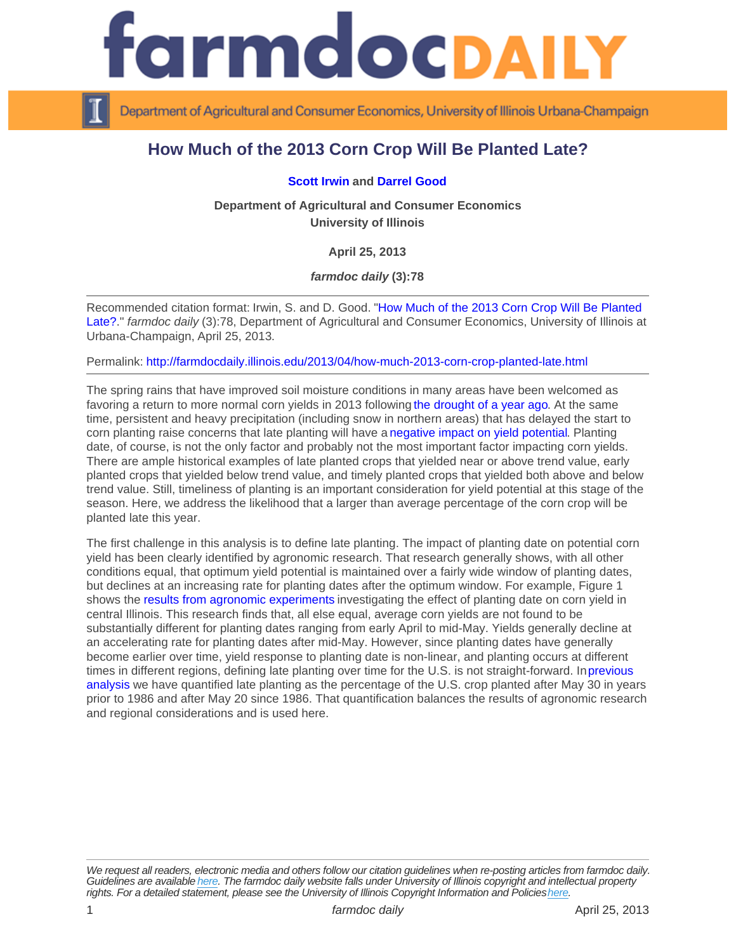## How Much of the 2013 Corn Crop Will Be Planted Late?

## [Scott Irwin](http://www.farmdoc.illinois.edu/irwin) and [Darrel Good](http://www.farmdoc.illinois.edu/good)

Department of Agricultural and Consumer Economics University of Illinois

April 25, 2013

farmdoc daily (3):78

Recommended citation format: Irwin, S. and D. Good. "[How Much of the 2013 Corn Crop Will Be Planted](http://farmdocdaily.illinois.edu/2013/04/how-much-2013-corn-crop-planted-late.html)  [Late?.](http://farmdocdaily.illinois.edu/2013/04/how-much-2013-corn-crop-planted-late.html)" farmdoc daily (3):78, Department of Agricultural and Consumer Economics, University of Illinois at Urbana-Champaign, April 25, 2013.

Permalink:<http://farmdocdaily.illinois.edu/2013/04/how-much-2013-corn-crop-planted-late.html>

The spring rains that have improved soil moisture conditions in many areas have been welcomed as favoring a return to more normal corn yields in 2013 following [the drought of a year ago.](http://farmdocdaily.illinois.edu/2013/04/2012-really-big-one-corn-yields.html) At the same time, persistent and heavy precipitation (including snow in northern areas) that has delayed the start to corn planting raise concerns that late planting will have a [negative impact on yield potential.](http://bulletin.ipm.illinois.edu/?p=327) Planting date, of course, is not the only factor and probably not the most important factor impacting corn yields. There are ample historical examples of late planted crops that yielded near or above trend value, early planted crops that yielded below trend value, and timely planted crops that yielded both above and below trend value. Still, timeliness of planting is an important consideration for yield potential at this stage of the season. Here, we address the likelihood that a larger than average percentage of the corn crop will be planted late this year.

The first challenge in this analysis is to define late planting. The impact of planting date on potential corn yield has been clearly identified by agronomic research. That research generally shows, with all other conditions equal, that optimum yield potential is maintained over a fairly wide window of planting dates, but declines at an increasing rate for planting dates after the optimum window. For example, Figure 1 shows the [results from agronomic experiments](http://bulletin.ipm.illinois.edu/article.php?id=890]) investigating the effect of planting date on corn yield in central Illinois. This research finds that, all else equal, average corn yields are not found to be substantially different for planting dates ranging from early April to mid-May. Yields generally decline at an accelerating rate for planting dates after mid-May. However, since planting dates have generally become earlier over time, yield response to planting date is non-linear, and planting occurs at different times in different regions, defining late planting over time for the U.S. is not straight-forward. In [previous](http://www.farmdoc.illinois.edu/marketing/mobr/mobr_09-01/mobr_09-01.pdf)  [analysis](http://www.farmdoc.illinois.edu/marketing/mobr/mobr_09-01/mobr_09-01.pdf) we have quantified late planting as the percentage of the U.S. crop planted after May 30 in years prior to 1986 and after May 20 since 1986. That quantification balances the results of agronomic research and regional considerations and is used here.

We request all readers, electronic media and others follow our citation guidelines when re-posting articles from farmdoc daily. Guidelines are available [here](http://farmdocdaily.illinois.edu/citationguide.html). The farmdoc daily website falls under University of Illinois copyright and intellectual property rights. For a detailed statement, please see the University of Illinois Copyright Information and Policies [here.](https://techservices.illinois.edu/office-cio)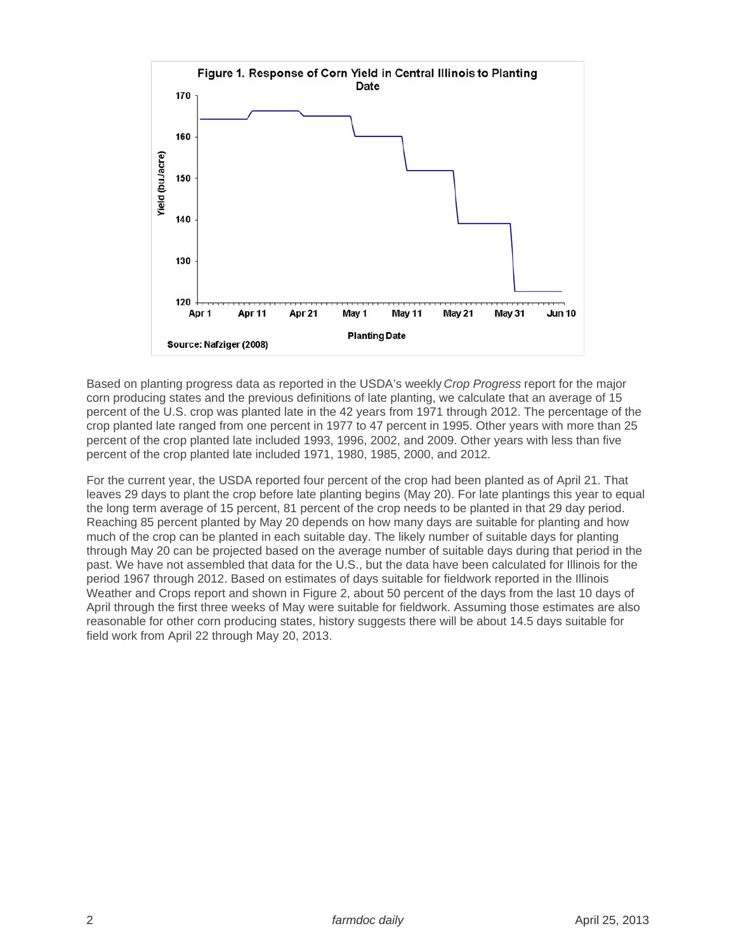

Based on planting progress data as reported in the USDA's weekly Crop Progress report for the major corn producing states and the previous definitions of late planting, we calculate that an average of 15 percent of the U.S. crop was planted late in the 42 years from 1971 through 2012. The percentage of the crop planted late ranged from one percent in 1977 to 47 percent in 1995. Other years with more than 25 percent of the crop planted late included 1993, 1996, 2002, and 2009. Other years with less than five percent of the crop planted late included 1971, 1980, 1985, 2000, and 2012.

For the current year, the USDA reported four percent of the crop had been planted as of April 21. That leaves 29 days to plant the crop before late planting begins (May 20). For late plantings this year to equal the long term average of 15 percent, 81 percent of the crop needs to be planted in that 29 day period. Reaching 85 percent planted by May 20 depends on how many days are suitable for planting and how much of the crop can be planted in each suitable day. The likely number of suitable days for planting through May 20 can be projected based on the average number of suitable days during that period in the past. We have not assembled that data for the U.S., but the data have been calculated for Illinois for the period 1967 through 2012. Based on estimates of days suitable for fieldwork reported in the Illinois Weather and Crops report and shown in Figure 2, about 50 percent of the days from the last 10 days of April through the first three weeks of May were suitable for fieldwork. Assuming those estimates are also reasonable for other corn producing states, history suggests there will be about 14.5 days suitable for field work from April 22 through May 20, 2013.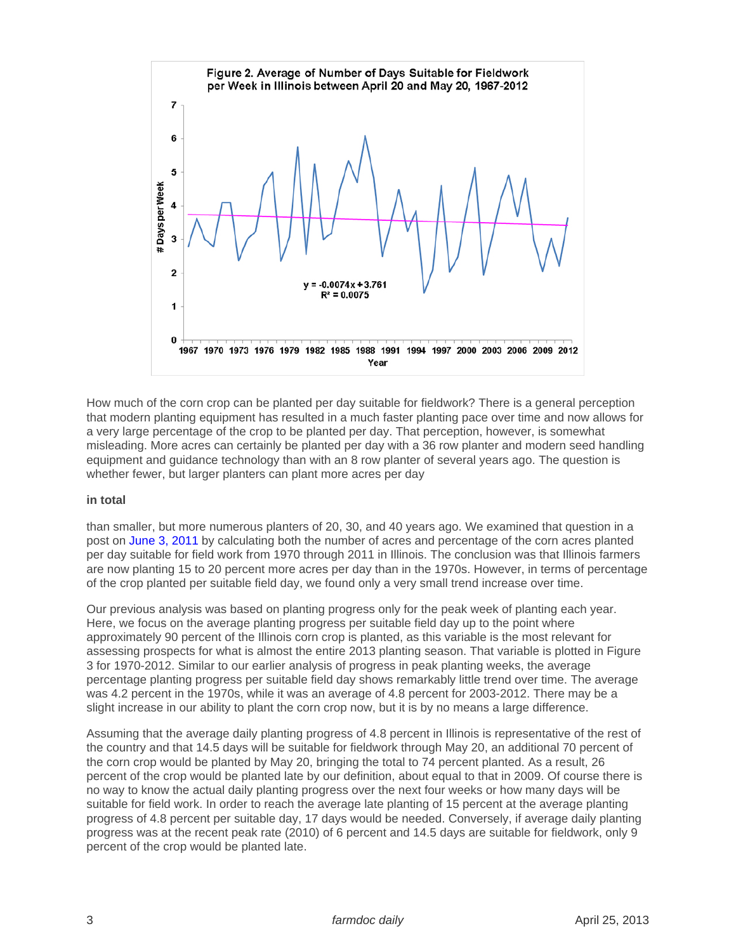How much of the corn crop can be planted per day suitable for fieldwork? There is a general perception that modern planting equipment has resulted in a much faster planting pace over time and now allows for a very large percentage of the crop to be planted per day. That perception, however, is somewhat misleading. More acres can certainly be planted per day with a 36 row planter and modern seed handling equipment and guidance technology than with an 8 row planter of several years ago. The question is whether fewer, but larger planters can plant more acres per day

## in total

than smaller, but more numerous planters of 20, 30, and 40 years ago. We examined that question in a post on [June 3, 2011](http://farmdocdaily.illinois.edu/2011/06/corn-planting-speed-revisited.html) by calculating both the number of acres and percentage of the corn acres planted per day suitable for field work from 1970 through 2011 in Illinois. The conclusion was that Illinois farmers are now planting 15 to 20 percent more acres per day than in the 1970s. However, in terms of percentage of the crop planted per suitable field day, we found only a very small trend increase over time.

Our previous analysis was based on planting progress only for the peak week of planting each year. Here, we focus on the average planting progress per suitable field day up to the point where approximately 90 percent of the Illinois corn crop is planted, as this variable is the most relevant for assessing prospects for what is almost the entire 2013 planting season. That variable is plotted in Figure 3 for 1970-2012. Similar to our earlier analysis of progress in peak planting weeks, the average percentage planting progress per suitable field day shows remarkably little trend over time. The average was 4.2 percent in the 1970s, while it was an average of 4.8 percent for 2003-2012. There may be a slight increase in our ability to plant the corn crop now, but it is by no means a large difference.

Assuming that the average daily planting progress of 4.8 percent in Illinois is representative of the rest of the country and that 14.5 days will be suitable for fieldwork through May 20, an additional 70 percent of the corn crop would be planted by May 20, bringing the total to 74 percent planted. As a result, 26 percent of the crop would be planted late by our definition, about equal to that in 2009. Of course there is no way to know the actual daily planting progress over the next four weeks or how many days will be suitable for field work. In order to reach the average late planting of 15 percent at the average planting progress of 4.8 percent per suitable day, 17 days would be needed. Conversely, if average daily planting progress was at the recent peak rate (2010) of 6 percent and 14.5 days are suitable for fieldwork, only 9 percent of the crop would be planted late.